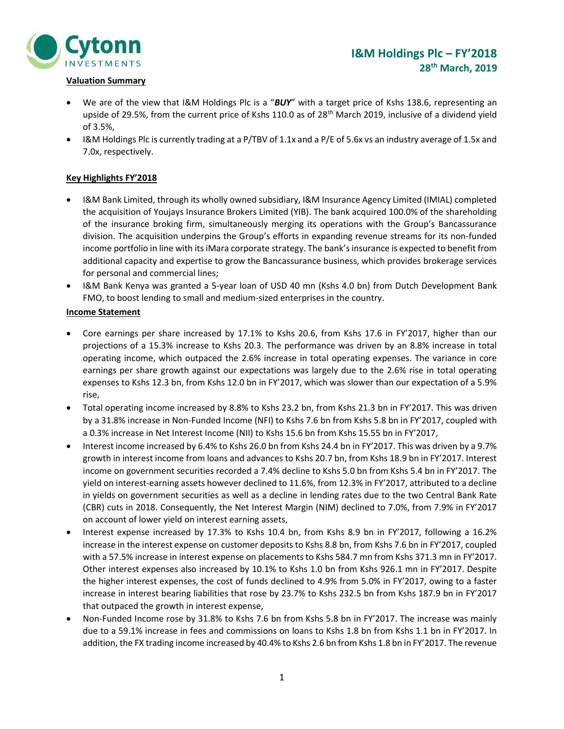

# Valuation Summary

- We are of the view that I&M Holdings Plc is a "BUY" with a target price of Kshs 138.6, representing an upside of 29.5%, from the current price of Kshs 110.0 as of 28<sup>th</sup> March 2019, inclusive of a dividend yield of 3.5%,
- I&M Holdings Plc is currently trading at a P/TBV of 1.1x and a P/E of 5.6x vs an industry average of 1.5x and 7.0x, respectively.

## Key Highlights FY'2018

- I&M Bank Limited, through its wholly owned subsidiary, I&M Insurance Agency Limited (IMIAL) completed the acquisition of Youjays Insurance Brokers Limited (YIB). The bank acquired 100.0% of the shareholding of the insurance broking firm, simultaneously merging its operations with the Group's Bancassurance division. The acquisition underpins the Group's efforts in expanding revenue streams for its non-funded income portfolio in line with its iMara corporate strategy. The bank's insurance is expected to benefit from additional capacity and expertise to grow the Bancassurance business, which provides brokerage services for personal and commercial lines;
- I&M Bank Kenya was granted a 5-year loan of USD 40 mn (Kshs 4.0 bn) from Dutch Development Bank FMO, to boost lending to small and medium-sized enterprises in the country.

## Income Statement

- Core earnings per share increased by 17.1% to Kshs 20.6, from Kshs 17.6 in FY'2017, higher than our projections of a 15.3% increase to Kshs 20.3. The performance was driven by an 8.8% increase in total operating income, which outpaced the 2.6% increase in total operating expenses. The variance in core earnings per share growth against our expectations was largely due to the 2.6% rise in total operating expenses to Kshs 12.3 bn, from Kshs 12.0 bn in FY'2017, which was slower than our expectation of a 5.9% rise,
- Total operating income increased by 8.8% to Kshs 23.2 bn, from Kshs 21.3 bn in FY'2017. This was driven by a 31.8% increase in Non-Funded Income (NFI) to Kshs 7.6 bn from Kshs 5.8 bn in FY'2017, coupled with a 0.3% increase in Net Interest Income (NII) to Kshs 15.6 bn from Kshs 15.55 bn in FY'2017,
- Interest income increased by 6.4% to Kshs 26.0 bn from Kshs 24.4 bn in FY'2017. This was driven by a 9.7% growth in interest income from loans and advances to Kshs 20.7 bn, from Kshs 18.9 bn in FY'2017. Interest income on government securities recorded a 7.4% decline to Kshs 5.0 bn from Kshs 5.4 bn in FY'2017. The yield on interest-earning assets however declined to 11.6%, from 12.3% in FY'2017, attributed to a decline in yields on government securities as well as a decline in lending rates due to the two Central Bank Rate (CBR) cuts in 2018. Consequently, the Net Interest Margin (NIM) declined to 7.0%, from 7.9% in FY'2017 on account of lower yield on interest earning assets,
- Interest expense increased by 17.3% to Kshs 10.4 bn, from Kshs 8.9 bn in FY'2017, following a 16.2% increase in the interest expense on customer deposits to Kshs 8.8 bn, from Kshs 7.6 bn in FY'2017, coupled with a 57.5% increase in interest expense on placements to Kshs 584.7 mn from Kshs 371.3 mn in FY'2017. Other interest expenses also increased by 10.1% to Kshs 1.0 bn from Kshs 926.1 mn in FY'2017. Despite the higher interest expenses, the cost of funds declined to 4.9% from 5.0% in FY'2017, owing to a faster increase in interest bearing liabilities that rose by 23.7% to Kshs 232.5 bn from Kshs 187.9 bn in FY'2017 that outpaced the growth in interest expense,
- Non-Funded Income rose by 31.8% to Kshs 7.6 bn from Kshs 5.8 bn in FY'2017. The increase was mainly due to a 59.1% increase in fees and commissions on loans to Kshs 1.8 bn from Kshs 1.1 bn in FY'2017. In addition, the FX trading income increased by 40.4% to Kshs 2.6 bn from Kshs 1.8 bn in FY'2017. The revenue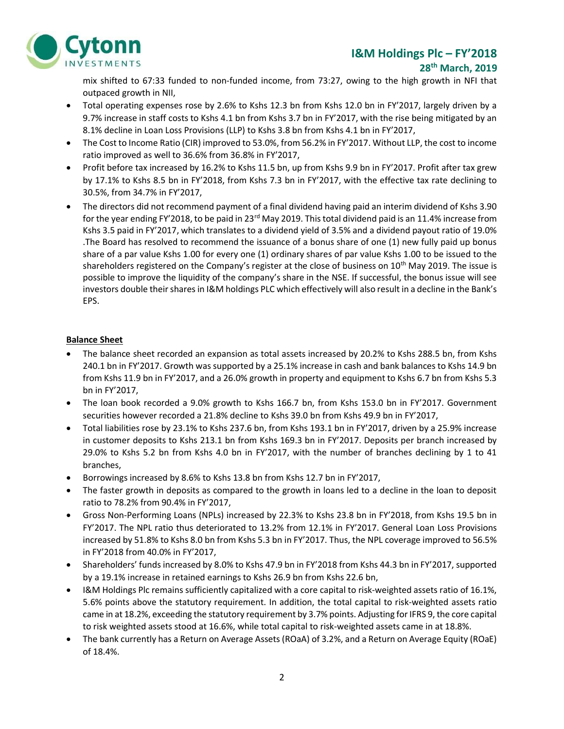# I&M Holdings Plc – FY'2018



#### 28th March, 2019

mix shifted to 67:33 funded to non-funded income, from 73:27, owing to the high growth in NFI that outpaced growth in NII,

- Total operating expenses rose by 2.6% to Kshs 12.3 bn from Kshs 12.0 bn in FY'2017, largely driven by a 9.7% increase in staff costs to Kshs 4.1 bn from Kshs 3.7 bn in FY'2017, with the rise being mitigated by an 8.1% decline in Loan Loss Provisions (LLP) to Kshs 3.8 bn from Kshs 4.1 bn in FY'2017,
- The Cost to Income Ratio (CIR) improved to 53.0%, from 56.2% in FY'2017. Without LLP, the cost to income ratio improved as well to 36.6% from 36.8% in FY'2017,
- Profit before tax increased by 16.2% to Kshs 11.5 bn, up from Kshs 9.9 bn in FY'2017. Profit after tax grew by 17.1% to Kshs 8.5 bn in FY'2018, from Kshs 7.3 bn in FY'2017, with the effective tax rate declining to 30.5%, from 34.7% in FY'2017,
- The directors did not recommend payment of a final dividend having paid an interim dividend of Kshs 3.90 for the year ending FY'2018, to be paid in 23<sup>rd</sup> May 2019. This total dividend paid is an 11.4% increase from Kshs 3.5 paid in FY'2017, which translates to a dividend yield of 3.5% and a dividend payout ratio of 19.0% .The Board has resolved to recommend the issuance of a bonus share of one (1) new fully paid up bonus share of a par value Kshs 1.00 for every one (1) ordinary shares of par value Kshs 1.00 to be issued to the shareholders registered on the Company's register at the close of business on 10<sup>th</sup> May 2019. The issue is possible to improve the liquidity of the company's share in the NSE. If successful, the bonus issue will see investors double their shares in I&M holdings PLC which effectively will also result in a decline in the Bank's EPS.

# Balance Sheet

- The balance sheet recorded an expansion as total assets increased by 20.2% to Kshs 288.5 bn, from Kshs 240.1 bn in FY'2017. Growth was supported by a 25.1% increase in cash and bank balances to Kshs 14.9 bn from Kshs 11.9 bn in FY'2017, and a 26.0% growth in property and equipment to Kshs 6.7 bn from Kshs 5.3 bn in FY'2017,
- The loan book recorded a 9.0% growth to Kshs 166.7 bn, from Kshs 153.0 bn in FY'2017. Government securities however recorded a 21.8% decline to Kshs 39.0 bn from Kshs 49.9 bn in FY'2017,
- Total liabilities rose by 23.1% to Kshs 237.6 bn, from Kshs 193.1 bn in FY'2017, driven by a 25.9% increase in customer deposits to Kshs 213.1 bn from Kshs 169.3 bn in FY'2017. Deposits per branch increased by 29.0% to Kshs 5.2 bn from Kshs 4.0 bn in FY'2017, with the number of branches declining by 1 to 41 branches,
- Borrowings increased by 8.6% to Kshs 13.8 bn from Kshs 12.7 bn in FY'2017,
- The faster growth in deposits as compared to the growth in loans led to a decline in the loan to deposit ratio to 78.2% from 90.4% in FY'2017,
- Gross Non-Performing Loans (NPLs) increased by 22.3% to Kshs 23.8 bn in FY'2018, from Kshs 19.5 bn in FY'2017. The NPL ratio thus deteriorated to 13.2% from 12.1% in FY'2017. General Loan Loss Provisions increased by 51.8% to Kshs 8.0 bn from Kshs 5.3 bn in FY'2017. Thus, the NPL coverage improved to 56.5% in FY'2018 from 40.0% in FY'2017,
- Shareholders' funds increased by 8.0% to Kshs 47.9 bn in FY'2018 from Kshs 44.3 bn in FY'2017, supported by a 19.1% increase in retained earnings to Kshs 26.9 bn from Kshs 22.6 bn,
- I&M Holdings Plc remains sufficiently capitalized with a core capital to risk-weighted assets ratio of 16.1%, 5.6% points above the statutory requirement. In addition, the total capital to risk-weighted assets ratio came in at 18.2%, exceeding the statutory requirement by 3.7% points. Adjusting for IFRS 9, the core capital to risk weighted assets stood at 16.6%, while total capital to risk-weighted assets came in at 18.8%.
- The bank currently has a Return on Average Assets (ROaA) of 3.2%, and a Return on Average Equity (ROaE) of 18.4%.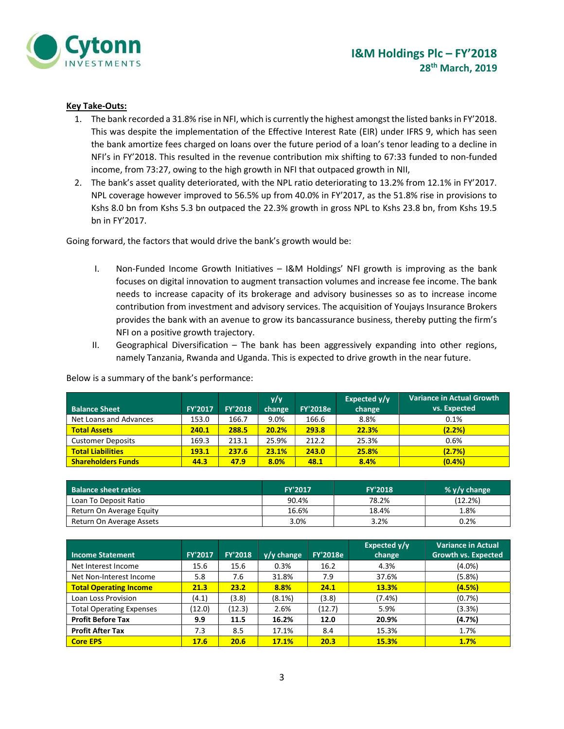

### Key Take-Outs:

- 1. The bank recorded a 31.8% rise in NFI, which is currently the highest amongst the listed banks in FY'2018. This was despite the implementation of the Effective Interest Rate (EIR) under IFRS 9, which has seen the bank amortize fees charged on loans over the future period of a loan's tenor leading to a decline in NFI's in FY'2018. This resulted in the revenue contribution mix shifting to 67:33 funded to non-funded income, from 73:27, owing to the high growth in NFI that outpaced growth in NII,
- 2. The bank's asset quality deteriorated, with the NPL ratio deteriorating to 13.2% from 12.1% in FY'2017. NPL coverage however improved to 56.5% up from 40.0% in FY'2017, as the 51.8% rise in provisions to Kshs 8.0 bn from Kshs 5.3 bn outpaced the 22.3% growth in gross NPL to Kshs 23.8 bn, from Kshs 19.5 bn in FY'2017.

Going forward, the factors that would drive the bank's growth would be:

- I. Non-Funded Income Growth Initiatives I&M Holdings' NFI growth is improving as the bank focuses on digital innovation to augment transaction volumes and increase fee income. The bank needs to increase capacity of its brokerage and advisory businesses so as to increase income contribution from investment and advisory services. The acquisition of Youjays Insurance Brokers provides the bank with an avenue to grow its bancassurance business, thereby putting the firm's NFI on a positive growth trajectory.
- II. Geographical Diversification The bank has been aggressively expanding into other regions, namely Tanzania, Rwanda and Uganda. This is expected to drive growth in the near future.

| <b>Balance Sheet</b>      | <b>FY'2017</b> | <b>FY'2018</b> | y/y<br>change | <b>FY'2018e</b> | Expected $y/y$<br>change | <b>Variance in Actual Growth</b><br>vs. Expected |
|---------------------------|----------------|----------------|---------------|-----------------|--------------------------|--------------------------------------------------|
| Net Loans and Advances    | 153.0          | 166.7          | 9.0%          | 166.6           | 8.8%                     | 0.1%                                             |
| <b>Total Assets</b>       | 240.1          | 288.5          | 20.2%         | 293.8           | 22.3%                    | (2.2%)                                           |
| <b>Customer Deposits</b>  | 169.3          | 213.1          | 25.9%         | 212.2           | 25.3%                    | 0.6%                                             |
| <b>Total Liabilities</b>  | 193.1          | 237.6          | 23.1%         | 243.0           | 25.8%                    | (2.7%)                                           |
| <b>Shareholders Funds</b> | 44.3           | 47.9           | 8.0%          | 48.1            | 8.4%                     | (0.4% )                                          |

Below is a summary of the bank's performance:

| <b>Balance sheet ratios</b> | <b>FY'2017</b> | <b>FY'2018</b> | % $y/y$ change |
|-----------------------------|----------------|----------------|----------------|
| Loan To Deposit Ratio       | 90.4%          | 78.2%          | (12.2%)        |
| Return On Average Equity    | 16.6%          | 18.4%          | 1.8%           |
| Return On Average Assets    | 3.0%           | 3.2%           | 0.2%           |

| <b>Income Statement</b>         | FY'2017 | <b>FY'2018</b> | $y/y$ change | <b>FY'2018e</b> | Expected y/y<br>change | <b>Variance in Actual</b><br><b>Growth vs. Expected</b> |
|---------------------------------|---------|----------------|--------------|-----------------|------------------------|---------------------------------------------------------|
| Net Interest Income             | 15.6    | 15.6           | 0.3%         | 16.2            | 4.3%                   | $(4.0\%)$                                               |
| Net Non-Interest Income         | 5.8     | 7.6            | 31.8%        | 7.9             | 37.6%                  | (5.8%)                                                  |
| <b>Total Operating Income</b>   | 21.3    | 23.2           | 8.8%         | 24.1            | <b>13.3%</b>           | (4.5%)                                                  |
| Loan Loss Provision             | (4.1)   | (3.8)          | (8.1%)       | (3.8)           | $(7.4\%)$              | (0.7%)                                                  |
| <b>Total Operating Expenses</b> | (12.0)  | (12.3)         | 2.6%         | (12.7)          | 5.9%                   | (3.3%)                                                  |
| <b>Profit Before Tax</b>        | 9.9     | 11.5           | 16.2%        | 12.0            | 20.9%                  | (4.7%)                                                  |
| <b>Profit After Tax</b>         | 7.3     | 8.5            | 17.1%        | 8.4             | 15.3%                  | 1.7%                                                    |
| <b>Core EPS</b>                 | 17.6    | 20.6           | 17.1%        | 20.3            | <b>15.3%</b>           | 1.7%                                                    |